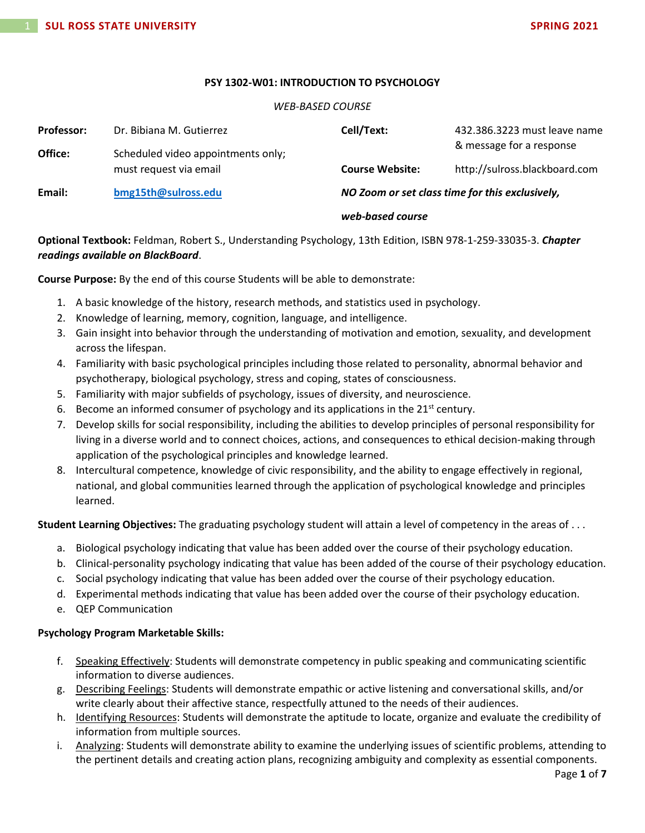## **PSY 1302-W01: INTRODUCTION TO PSYCHOLOGY**

# *WEB-BASED COURSE*

| <b>Professor:</b> | Dr. Bibiana M. Gutierrez           | Cell/Text:                                      | 432.386.3223 must leave name  |
|-------------------|------------------------------------|-------------------------------------------------|-------------------------------|
| Office:           | Scheduled video appointments only; |                                                 | & message for a response      |
|                   | must request via email             | <b>Course Website:</b>                          | http://sulross.blackboard.com |
| Email:            | bmg15th@sulross.edu                | NO Zoom or set class time for this exclusively, |                               |
|                   |                                    | web-based course                                |                               |

**Optional Textbook:** Feldman, Robert S., Understanding Psychology, 13th Edition, ISBN 978-1-259-33035-3. *Chapter readings available on BlackBoard*.

**Course Purpose:** By the end of this course Students will be able to demonstrate:

- 1. A basic knowledge of the history, research methods, and statistics used in psychology.
- 2. Knowledge of learning, memory, cognition, language, and intelligence.
- 3. Gain insight into behavior through the understanding of motivation and emotion, sexuality, and development across the lifespan.
- 4. Familiarity with basic psychological principles including those related to personality, abnormal behavior and psychotherapy, biological psychology, stress and coping, states of consciousness.
- 5. Familiarity with major subfields of psychology, issues of diversity, and neuroscience.
- 6. Become an informed consumer of psychology and its applications in the  $21^{st}$  century.
- 7. Develop skills for social responsibility, including the abilities to develop principles of personal responsibility for living in a diverse world and to connect choices, actions, and consequences to ethical decision-making through application of the psychological principles and knowledge learned.
- 8. Intercultural competence, knowledge of civic responsibility, and the ability to engage effectively in regional, national, and global communities learned through the application of psychological knowledge and principles learned.

**Student Learning Objectives:** The graduating psychology student will attain a level of competency in the areas of . . .

- a. Biological psychology indicating that value has been added over the course of their psychology education.
- b. Clinical-personality psychology indicating that value has been added of the course of their psychology education.
- c. Social psychology indicating that value has been added over the course of their psychology education.
- d. Experimental methods indicating that value has been added over the course of their psychology education.
- e. QEP Communication

# **Psychology Program Marketable Skills:**

- f. Speaking Effectively: Students will demonstrate competency in public speaking and communicating scientific information to diverse audiences.
- g. Describing Feelings: Students will demonstrate empathic or active listening and conversational skills, and/or write clearly about their affective stance, respectfully attuned to the needs of their audiences.
- h. Identifying Resources: Students will demonstrate the aptitude to locate, organize and evaluate the credibility of information from multiple sources.
- i. Analyzing: Students will demonstrate ability to examine the underlying issues of scientific problems, attending to the pertinent details and creating action plans, recognizing ambiguity and complexity as essential components.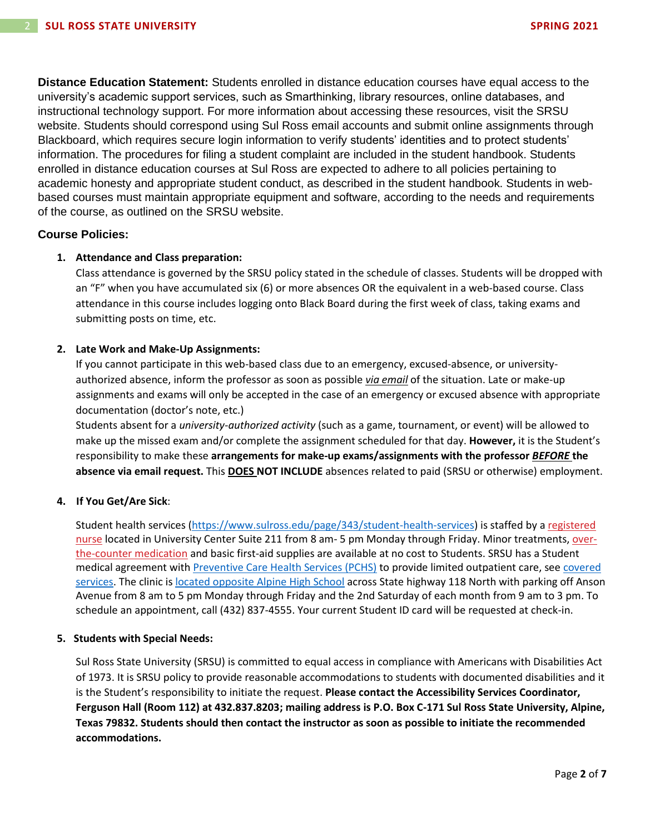**Distance Education Statement:** Students enrolled in distance education courses have equal access to the university's academic support services, such as Smarthinking, library resources, online databases, and instructional technology support. For more information about accessing these resources, visit the SRSU website. Students should correspond using Sul Ross email accounts and submit online assignments through Blackboard, which requires secure login information to verify students' identities and to protect students' information. The procedures for filing a student complaint are included in the student handbook. Students enrolled in distance education courses at Sul Ross are expected to adhere to all policies pertaining to academic honesty and appropriate student conduct, as described in the student handbook. Students in webbased courses must maintain appropriate equipment and software, according to the needs and requirements of the course, as outlined on the SRSU website.

# **Course Policies:**

# **1. Attendance and Class preparation:**

Class attendance is governed by the SRSU policy stated in the schedule of classes. Students will be dropped with an "F" when you have accumulated six (6) or more absences OR the equivalent in a web-based course. Class attendance in this course includes logging onto Black Board during the first week of class, taking exams and submitting posts on time, etc.

## **2. Late Work and Make-Up Assignments:**

If you cannot participate in this web-based class due to an emergency, excused-absence, or universityauthorized absence, inform the professor as soon as possible *via email* of the situation. Late or make-up assignments and exams will only be accepted in the case of an emergency or excused absence with appropriate documentation (doctor's note, etc.)

Students absent for a *university-authorized activity* (such as a game, tournament, or event) will be allowed to make up the missed exam and/or complete the assignment scheduled for that day. **However,** it is the Student's responsibility to make these **arrangements for make-up exams/assignments with the professor** *BEFORE* **the absence via email request.** This **DOES NOT INCLUDE** absences related to paid (SRSU or otherwise) employment.

## **4. If You Get/Are Sick**:

Student health services [\(https://www.sulross.edu/page/343/student-health-services\)](https://www.sulross.edu/page/343/student-health-services) is staffed by a [registered](https://www.sulross.edu/faculty-and-staff/945/health-services-coordinator)  [nurse](https://www.sulross.edu/faculty-and-staff/945/health-services-coordinator) located in University Center Suite 211 from 8 am- 5 pm Monday through Friday. Minor treatments, [over](http://www.sulross.edu/page/1462/medications)[the-counter medication](http://www.sulross.edu/page/1462/medications) and basic first-aid supplies are available at no cost to Students. SRSU has a Student medical agreement with [Preventive Care Health Services \(PCHS\)](http://www.pchsmedclinic.org/locations) to provide limited outpatient care, see [covered](http://www.sulross.edu/page/1471/preventive-care-health-services)  [services.](http://www.sulross.edu/page/1471/preventive-care-health-services) The clinic is [located opposite Alpine High School](http://www.sulross.edu/gallery-image/4341/health-service-locations) across State highway 118 North with parking off Anson Avenue from 8 am to 5 pm Monday through Friday and the 2nd Saturday of each month from 9 am to 3 pm. To schedule an appointment, call (432) 837-4555. Your current Student ID card will be requested at check-in.

## **5. Students with Special Needs:**

Sul Ross State University (SRSU) is committed to equal access in compliance with Americans with Disabilities Act of 1973. It is SRSU policy to provide reasonable accommodations to students with documented disabilities and it is the Student's responsibility to initiate the request. **Please contact the Accessibility Services Coordinator, Ferguson Hall (Room 112) at 432.837.8203; mailing address is P.O. Box C-171 Sul Ross State University, Alpine, Texas 79832. Students should then contact the instructor as soon as possible to initiate the recommended accommodations.**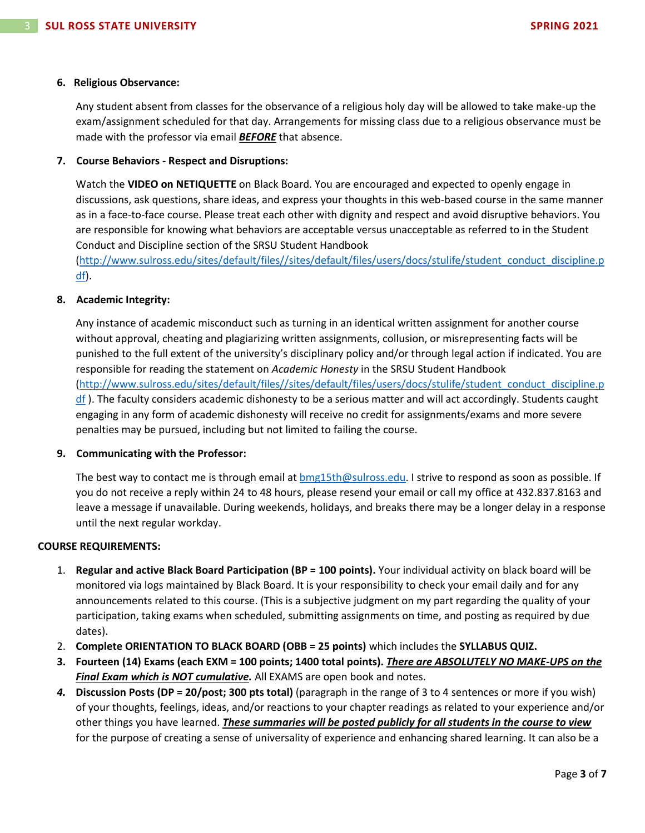#### **6. Religious Observance:**

Any student absent from classes for the observance of a religious holy day will be allowed to take make-up the exam/assignment scheduled for that day. Arrangements for missing class due to a religious observance must be made with the professor via email *BEFORE* that absence.

## **7. Course Behaviors - Respect and Disruptions:**

Watch the **VIDEO on NETIQUETTE** on Black Board. You are encouraged and expected to openly engage in discussions, ask questions, share ideas, and express your thoughts in this web-based course in the same manner as in a face-to-face course. Please treat each other with dignity and respect and avoid disruptive behaviors. You are responsible for knowing what behaviors are acceptable versus unacceptable as referred to in the Student Conduct and Discipline section of the SRSU Student Handbook

[\(http://www.sulross.edu/sites/default/files//sites/default/files/users/docs/stulife/student\\_conduct\\_discipline.p](http://www.sulross.edu/sites/default/files/sites/default/files/users/docs/stulife/student_conduct_discipline.pdf) [df\)](http://www.sulross.edu/sites/default/files/sites/default/files/users/docs/stulife/student_conduct_discipline.pdf).

## **8. Academic Integrity:**

Any instance of academic misconduct such as turning in an identical written assignment for another course without approval, cheating and plagiarizing written assignments, collusion, or misrepresenting facts will be punished to the full extent of the university's disciplinary policy and/or through legal action if indicated. You are responsible for reading the statement on *Academic Honesty* in the SRSU Student Handbook [\(http://www.sulross.edu/sites/default/files//sites/default/files/users/docs/stulife/student\\_conduct\\_discipline.p](http://www.sulross.edu/sites/default/files/sites/default/files/users/docs/stulife/student_conduct_discipline.pdf)  $df$ ). The faculty considers academic dishonesty to be a serious matter and will act accordingly. Students caught engaging in any form of academic dishonesty will receive no credit for assignments/exams and more severe penalties may be pursued, including but not limited to failing the course.

## **9. Communicating with the Professor:**

The best way to contact me is through email at [bmg15th@sulross.edu.](mailto:bmg15th@sulross.edu) I strive to respond as soon as possible. If you do not receive a reply within 24 to 48 hours, please resend your email or call my office at 432.837.8163 and leave a message if unavailable. During weekends, holidays, and breaks there may be a longer delay in a response until the next regular workday.

## **COURSE REQUIREMENTS:**

- 1. **Regular and active Black Board Participation (BP = 100 points).** Your individual activity on black board will be monitored via logs maintained by Black Board. It is your responsibility to check your email daily and for any announcements related to this course. (This is a subjective judgment on my part regarding the quality of your participation, taking exams when scheduled, submitting assignments on time, and posting as required by due dates).
- 2. **Complete ORIENTATION TO BLACK BOARD (OBB = 25 points)** which includes the **SYLLABUS QUIZ.**
- **3. Fourteen (14) Exams (each EXM = 100 points; 1400 total points).** *There are ABSOLUTELY NO MAKE-UPS on the Final Exam which is NOT cumulative.* All EXAMS are open book and notes.
- *4.* **Discussion Posts (DP = 20/post; 300 pts total)** (paragraph in the range of 3 to 4 sentences or more if you wish) of your thoughts, feelings, ideas, and/or reactions to your chapter readings as related to your experience and/or other things you have learned. *These summaries will be posted publicly for all students in the course to view* for the purpose of creating a sense of universality of experience and enhancing shared learning. It can also be a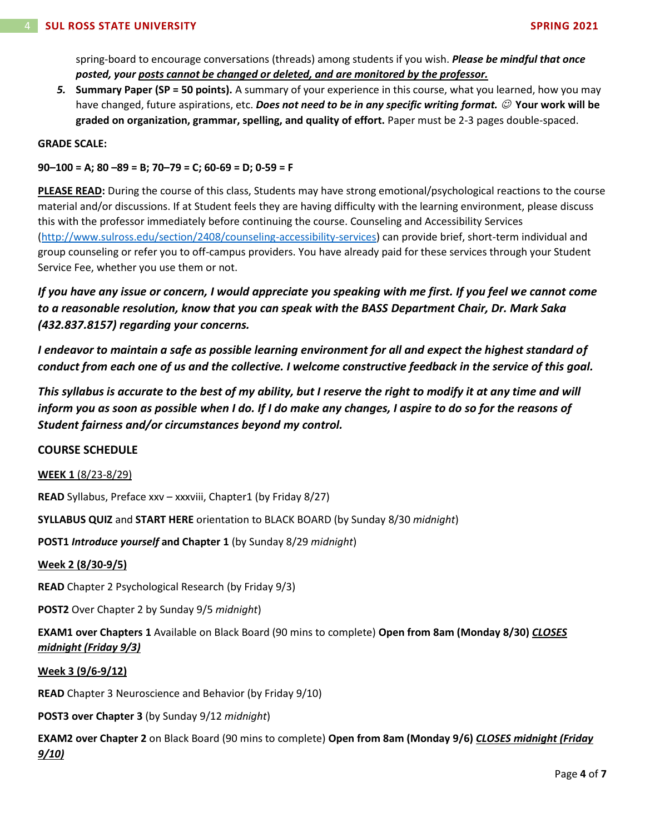spring-board to encourage conversations (threads) among students if you wish. *Please be mindful that once posted, your posts cannot be changed or deleted, and are monitored by the professor.*

*5.* **Summary Paper (SP = 50 points).** A summary of your experience in this course, what you learned, how you may have changed, future aspirations, etc. *Does not need to be in any specific writing format.* ☺ **Your work will be graded on organization, grammar, spelling, and quality of effort.** Paper must be 2-3 pages double-spaced.

## **GRADE SCALE:**

**90–100 = A; 80 –89 = B; 70–79 = C; 60-69 = D; 0-59 = F**

**PLEASE READ:** During the course of this class, Students may have strong emotional/psychological reactions to the course material and/or discussions. If at Student feels they are having difficulty with the learning environment, please discuss this with the professor immediately before continuing the course. Counseling and Accessibility Services [\(http://www.sulross.edu/section/2408/counseling-accessibility-services\)](http://www.sulross.edu/section/2408/counseling-accessibility-services) can provide brief, short-term individual and group counseling or refer you to off-campus providers. You have already paid for these services through your Student Service Fee, whether you use them or not.

*If you have any issue or concern, I would appreciate you speaking with me first. If you feel we cannot come to a reasonable resolution, know that you can speak with the BASS Department Chair, Dr. Mark Saka (432.837.8157) regarding your concerns.*

*I endeavor to maintain a safe as possible learning environment for all and expect the highest standard of conduct from each one of us and the collective. I welcome constructive feedback in the service of this goal.*

*This syllabus is accurate to the best of my ability, but I reserve the right to modify it at any time and will inform you as soon as possible when I do. If I do make any changes, I aspire to do so for the reasons of Student fairness and/or circumstances beyond my control.*

# **COURSE SCHEDULE**

## **WEEK 1** (8/23-8/29)

**READ** Syllabus, Preface xxv – xxxviii, Chapter1 (by Friday 8/27)

**SYLLABUS QUIZ** and **START HERE** orientation to BLACK BOARD (by Sunday 8/30 *midnight*)

**POST1** *Introduce yourself* **and Chapter 1** (by Sunday 8/29 *midnight*)

## **Week 2 (8/30-9/5)**

**READ** Chapter 2 Psychological Research (by Friday 9/3)

**POST2** Over Chapter 2 by Sunday 9/5 *midnight*)

**EXAM1 over Chapters 1** Available on Black Board (90 mins to complete) **Open from 8am (Monday 8/30)** *CLOSES midnight (Friday 9/3)*

# **Week 3 (9/6-9/12)**

**READ** Chapter 3 Neuroscience and Behavior (by Friday 9/10)

**POST3 over Chapter 3** (by Sunday 9/12 *midnight*)

**EXAM2 over Chapter 2** on Black Board (90 mins to complete) **Open from 8am (Monday 9/6)** *CLOSES midnight (Friday 9/10)*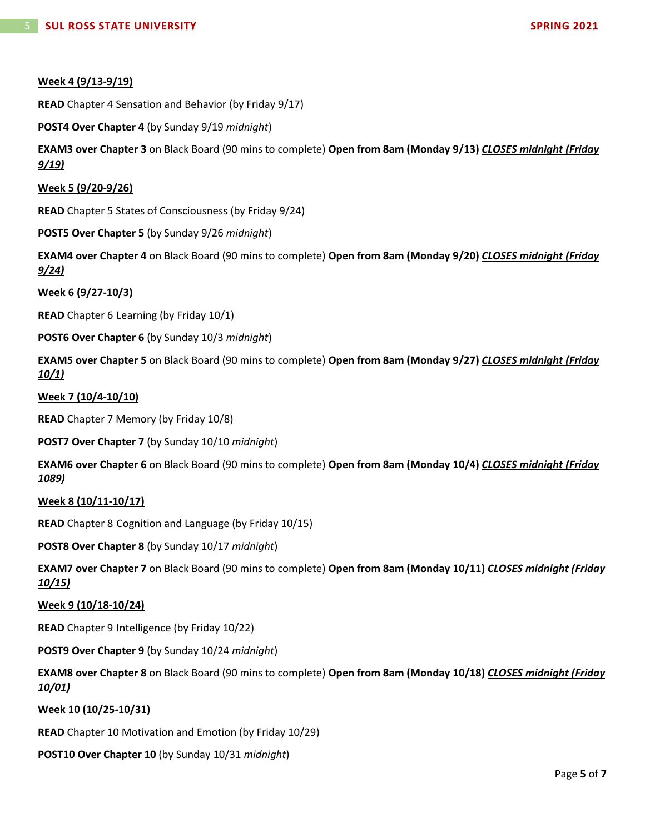# **Week 4 (9/13-9/19)**

**READ** Chapter 4 Sensation and Behavior (by Friday 9/17)

**POST4 Over Chapter 4** (by Sunday 9/19 *midnight*)

**EXAM3 over Chapter 3** on Black Board (90 mins to complete) **Open from 8am (Monday 9/13)** *CLOSES midnight (Friday 9/19)*

**Week 5 (9/20-9/26)**

**READ** Chapter 5 States of Consciousness (by Friday 9/24)

**POST5 Over Chapter 5** (by Sunday 9/26 *midnight*)

**EXAM4 over Chapter 4** on Black Board (90 mins to complete) **Open from 8am (Monday 9/20)** *CLOSES midnight (Friday 9/24)*

**Week 6 (9/27-10/3)**

**READ** Chapter 6 Learning (by Friday 10/1)

**POST6 Over Chapter 6** (by Sunday 10/3 *midnight*)

**EXAM5 over Chapter 5** on Black Board (90 mins to complete) **Open from 8am (Monday 9/27)** *CLOSES midnight (Friday 10/1)*

#### **Week 7 (10/4-10/10)**

**READ** Chapter 7 Memory (by Friday 10/8)

**POST7 Over Chapter 7** (by Sunday 10/10 *midnight*)

**EXAM6 over Chapter 6** on Black Board (90 mins to complete) **Open from 8am (Monday 10/4)** *CLOSES midnight (Friday 1089)*

## **Week 8 (10/11-10/17)**

**READ** Chapter 8 Cognition and Language (by Friday 10/15)

**POST8 Over Chapter 8** (by Sunday 10/17 *midnight*)

**EXAM7 over Chapter 7** on Black Board (90 mins to complete) **Open from 8am (Monday 10/11)** *CLOSES midnight (Friday 10/15)*

#### **Week 9 (10/18-10/24)**

**READ** Chapter 9 Intelligence (by Friday 10/22)

**POST9 Over Chapter 9** (by Sunday 10/24 *midnight*)

**EXAM8 over Chapter 8** on Black Board (90 mins to complete) **Open from 8am (Monday 10/18)** *CLOSES midnight (Friday 10/01)*

## **Week 10 (10/25-10/31)**

**READ** Chapter 10 Motivation and Emotion (by Friday 10/29)

## **POST10 Over Chapter 10** (by Sunday 10/31 *midnight*)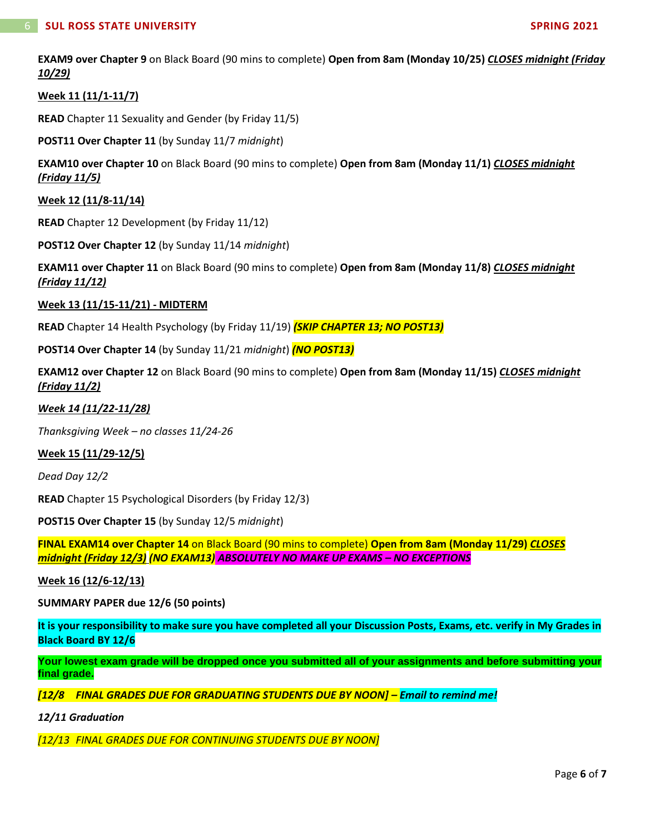**EXAM9 over Chapter 9** on Black Board (90 mins to complete) **Open from 8am (Monday 10/25)** *CLOSES midnight (Friday 10/29)*

## **Week 11 (11/1-11/7)**

**READ** Chapter 11 Sexuality and Gender (by Friday 11/5)

**POST11 Over Chapter 11** (by Sunday 11/7 *midnight*)

**EXAM10 over Chapter 10** on Black Board (90 mins to complete) **Open from 8am (Monday 11/1)** *CLOSES midnight (Friday 11/5)*

**Week 12 (11/8-11/14)**

**READ** Chapter 12 Development (by Friday 11/12)

**POST12 Over Chapter 12** (by Sunday 11/14 *midnight*)

**EXAM11 over Chapter 11** on Black Board (90 mins to complete) **Open from 8am (Monday 11/8)** *CLOSES midnight (Friday 11/12)*

#### **Week 13 (11/15-11/21) - MIDTERM**

**READ** Chapter 14 Health Psychology (by Friday 11/19) *(SKIP CHAPTER 13; NO POST13)*

**POST14 Over Chapter 14** (by Sunday 11/21 *midnight*) *(NO POST13)*

**EXAM12 over Chapter 12** on Black Board (90 mins to complete) **Open from 8am (Monday 11/15)** *CLOSES midnight (Friday 11/2)*

#### *Week 14 (11/22-11/28)*

*Thanksgiving Week – no classes 11/24-26*

#### **Week 15 (11/29-12/5)**

*Dead Day 12/2*

**READ** Chapter 15 Psychological Disorders (by Friday 12/3)

**POST15 Over Chapter 15** (by Sunday 12/5 *midnight*)

**FINAL EXAM14 over Chapter 14** on Black Board (90 mins to complete) **Open from 8am (Monday 11/29)** *CLOSES midnight (Friday 12/3) (NO EXAM13) ABSOLUTELY NO MAKE UP EXAMS – NO EXCEPTIONS*

**Week 16 (12/6-12/13)**

**SUMMARY PAPER due 12/6 (50 points)**

**It is your responsibility to make sure you have completed all your Discussion Posts, Exams, etc. verify in My Grades in Black Board BY 12/6**

Your lowest exam grade will be dropped once you submitted all of your assignments and before submitting your **final grade.**

*[12/8 FINAL GRADES DUE FOR GRADUATING STUDENTS DUE BY NOON] – Email to remind me!*

*12/11 Graduation*

*[12/13 FINAL GRADES DUE FOR CONTINUING STUDENTS DUE BY NOON]*